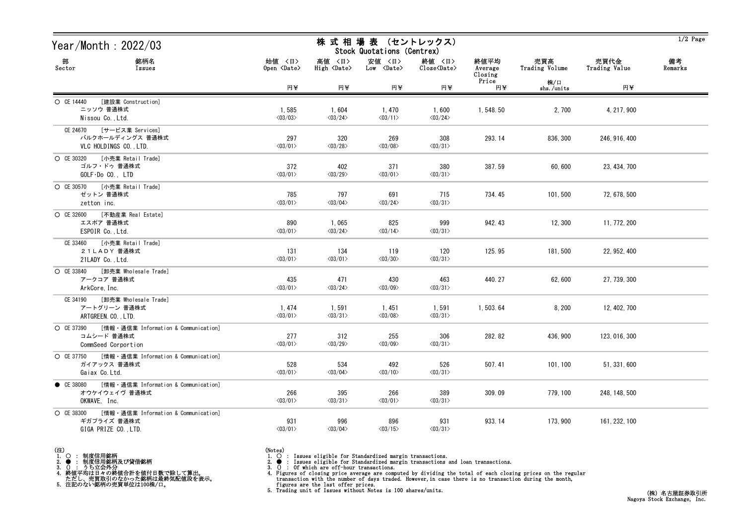| Year/Month: 2022/03                                                                         |                                  | 株 式 相 場 表 (セントレックス)<br>Stock Quotations (Centrex) |                                           |                                  |                            |                       |                       | $1/2$ Page    |
|---------------------------------------------------------------------------------------------|----------------------------------|---------------------------------------------------|-------------------------------------------|----------------------------------|----------------------------|-----------------------|-----------------------|---------------|
| 部<br>銘柄名<br>Sector<br>Issues                                                                | 始値 〈日〉<br>Open <date></date>     | 高値 〈日〉<br>High <date></date>                      | 安値 〈日〉<br>$Low \sim \langle Date \rangle$ | 終値 〈日〉<br>Close <date></date>    | 終値平均<br>Average<br>Closing | 売買高<br>Trading Volume | 売買代金<br>Trading Value | 備考<br>Remarks |
|                                                                                             | 円半                               | 円半                                                | 円半                                        | 円半                               | Price<br>円半                | 株/口<br>shs./units     | 円半                    |               |
| O CE 14440<br>[建設業 Construction]<br>ニッソウ 普通株式<br>Nissou Co., Ltd.                           | 1,585<br>$\langle 03/03 \rangle$ | 1,604<br>$\langle 03/24 \rangle$                  | 1, 470<br>$\langle 03/11 \rangle$         | 1,600<br>$\langle 03/24 \rangle$ | 1, 548.50                  | 2,700                 | 4, 217, 900           |               |
| CE 24670 [サービス業 Services]<br>バルクホールディングス 普通株式<br>VLC HOLDINGS CO., LTD.                     | 297<br>$\langle 03/01 \rangle$   | 320<br>$\langle 03/28 \rangle$                    | 269<br>$\langle 03/08 \rangle$            | 308<br>$\langle 03/31 \rangle$   | 293.14                     | 836, 300              | 246, 916, 400         |               |
| ○ CE 30320 [小売業 Retail Trade]<br>ゴルフ・ドゥ 普通株式<br>$GOLF\cdot DoCO.$ , $LTD$                   | 372<br>$\langle 03/01 \rangle$   | 402<br>$\langle 03/29 \rangle$                    | 371<br>$\langle 03/01 \rangle$            | 380<br>$\langle 03/31 \rangle$   | 387.59                     | 60,600                | 23, 434, 700          |               |
| ○ CE 30570 [小売業 Retail Trade]<br>ゼットン 普通株式<br>zetton inc.                                   | 785<br>$\langle 03/01 \rangle$   | 797<br>$\langle 03/04 \rangle$                    | 691<br>$\langle 03/24 \rangle$            | 715<br>$\langle 03/31 \rangle$   | 734.45                     | 101,500               | 72, 678, 500          |               |
| 〇 CE 32600 [不動産業 Real Estate]<br>エスポア 普通株式<br>ESPOIR Co., Ltd.                              | 890<br>$\langle 03/01 \rangle$   | 1,065<br>$\langle 03/24 \rangle$                  | 825<br>$\langle 03/14 \rangle$            | 999<br>$\langle 03/31 \rangle$   | 942.43                     | 12, 300               | 11, 772, 200          |               |
| CE 33460 [小売業 Retail Trade]<br>21LADY 普通株式<br>21LADY Co., Ltd.                              | 131<br>$\langle 03/01 \rangle$   | 134<br>$\langle 03/01 \rangle$                    | 119<br>$\langle 03/30 \rangle$            | 120<br>$\langle 03/31 \rangle$   | 125.95                     | 181,500               | 22, 952, 400          |               |
| ○ CE 33840 [卸売業 Wholesale Trade]<br>アークコア 普通株式<br>ArkCore, Inc.                             | 435<br>$\langle 03/01 \rangle$   | 471<br>$\langle 03/24 \rangle$                    | 430<br>$\langle 03/09 \rangle$            | 463<br>$\langle 03/31 \rangle$   | 440.27                     | 62, 600               | 27, 739, 300          |               |
| [卸売業 Wholesale Trade]<br>CE 34190<br>アートグリーン 普通株式<br>ARTGREEN. CO., LTD.                    | 1,474<br>$\langle 03/01 \rangle$ | 1,591<br>$\langle 03/31 \rangle$                  | 1, 451<br>$\langle 03/08 \rangle$         | 1,591<br>$\langle 03/31 \rangle$ | 1,503.64                   | 8, 200                | 12, 402, 700          |               |
| ○ CE 37390 [情報 · 通信業 Information & Communication]<br>コムシード 普通株式<br>CommSeed Corportion      | 277<br>$\langle 03/01 \rangle$   | 312<br>$\langle 03/29 \rangle$                    | 255<br>$\langle 03/09 \rangle$            | 306<br>$\langle 03/31 \rangle$   | 282.82                     | 436, 900              | 123, 016, 300         |               |
| ○ CE 37750 [情報 · 通信業 Information & Communication]<br>ガイアックス 普通株式<br>Gaiax Co. Ltd.          | 528<br>$\langle 03/01 \rangle$   | 534<br>$\langle 03/04 \rangle$                    | 492<br>$\langle 03/10 \rangle$            | 526<br>$\langle 03/31 \rangle$   | 507.41                     | 101, 100              | 51, 331, 600          |               |
| [情報・通信業 Information & Communication]<br>CE 38080<br>オウケイウェイヴ 普通株式<br>OKWAVE, Inc.           | 266<br>$\langle 03/01 \rangle$   | 395<br>$\langle 03/31 \rangle$                    | 266<br>$\langle 03/01 \rangle$            | 389<br>$\langle 03/31 \rangle$   | 309.09                     | 779, 100              | 248, 148, 500         |               |
| [情報 · 通信業 Information & Communication]<br>O CE 38300<br>ギガプライズ 普通株式<br>GIGA PRIZE CO., LTD. | 931<br>$\langle 03/01 \rangle$   | 996<br>$\langle 03/04 \rangle$                    | 896<br>$\langle 03/15 \rangle$            | 931<br>$\langle 03/31 \rangle$   | 933.14                     | 173, 900              | 161, 232, 100         |               |

- (注)<br>1. ○<br>2. ●<br>3. ① 1. ○ : 制度信用銘柄
- 
- 
- 2. : 制度信用銘柄及び貸借銘柄<br>3. () : うち立会外分<br>4. 終値平均は日々の終値合計を値付日数で除して算出。<br>ただし、売買取引のなかった銘柄は最終気配値段を表示。<br>5. 注記のない銘柄の売買単位は100株/口。
- 
- 
- (Notes)<br>1. : Issues eligible for Standardized margin transactions.
- 

2. ● : Issues eligible for Standardized margin transactions and loan transactions.<br>3. () : Of which are off-hour transactions.<br>4. Figures of closing prices on the regular transaction with the number of days traded. Howev